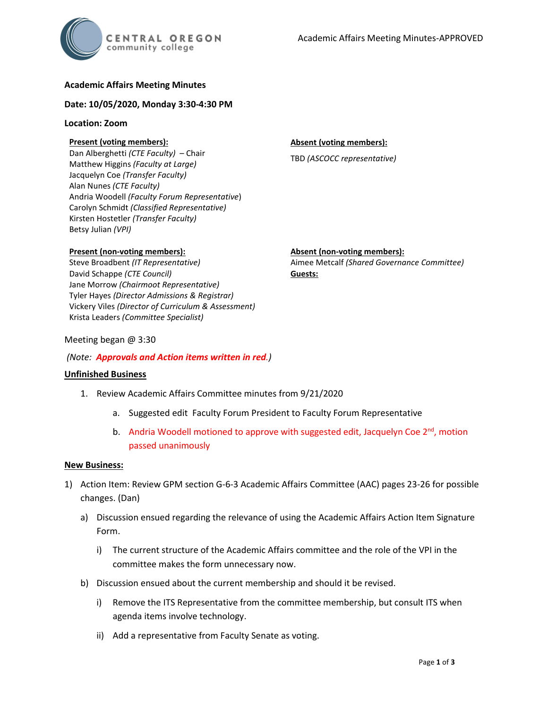# **Academic Affairs Meeting Minutes**

### **Date: 10/05/2020, Monday 3:30-4:30 PM**

### **Location: Zoom**

## **Present (voting members):**

Dan Alberghetti *(CTE Faculty)* – Chair Matthew Higgins *(Faculty at Large)* Jacquelyn Coe *(Transfer Faculty)*  Alan Nunes *(CTE Faculty)* Andria Woodell *(Faculty Forum Representative*) Carolyn Schmidt *(Classified Representative)* Kirsten Hostetler *(Transfer Faculty)* Betsy Julian *(VPI)*

### **Absent (voting members):**

TBD *(ASCOCC representative)*

### **Present (non-voting members):**

Steve Broadbent *(IT Representative)* David Schappe *(CTE Council)* Jane Morrow *(Chairmoot Representative)* Tyler Hayes *(Director Admissions & Registrar)* Vickery Viles *(Director of Curriculum & Assessment)* Krista Leaders *(Committee Specialist)*

# **Absent (non-voting members):**

Aimee Metcalf *(Shared Governance Committee)* **Guests:**

### Meeting began @ 3:30

### *(Note: Approvals and Action items written in red.)*

### **Unfinished Business**

- 1. Review Academic Affairs Committee minutes from 9/21/2020
	- a. Suggested edit Faculty Forum President to Faculty Forum Representative
	- b. Andria Woodell motioned to approve with suggested edit, Jacquelyn Coe  $2^{nd}$ , motion passed unanimously

#### **New Business:**

- 1) Action Item: Review GPM section G-6-3 Academic Affairs Committee (AAC) pages 23-26 for possible changes. (Dan)
	- a) Discussion ensued regarding the relevance of using the Academic Affairs Action Item Signature Form.
		- i) The current structure of the Academic Affairs committee and the role of the VPI in the committee makes the form unnecessary now.
	- b) Discussion ensued about the current membership and should it be revised.
		- i) Remove the ITS Representative from the committee membership, but consult ITS when agenda items involve technology.
		- ii) Add a representative from Faculty Senate as voting.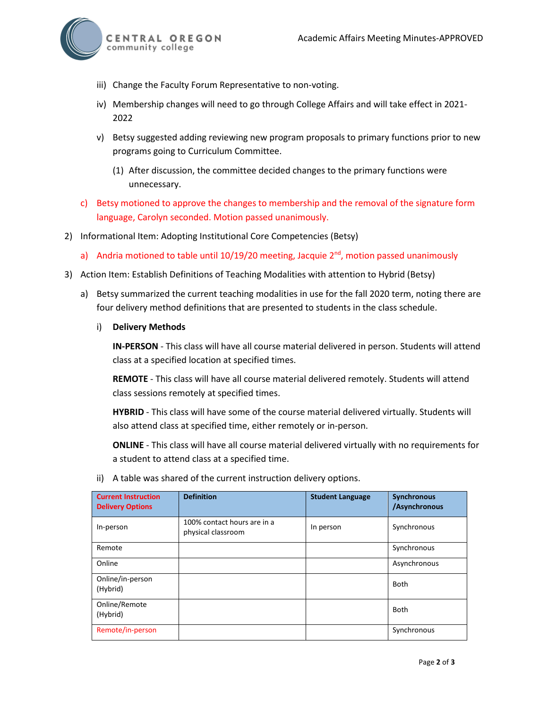

- iii) Change the Faculty Forum Representative to non-voting.
- iv) Membership changes will need to go through College Affairs and will take effect in 2021- 2022
- v) Betsy suggested adding reviewing new program proposals to primary functions prior to new programs going to Curriculum Committee.
	- (1) After discussion, the committee decided changes to the primary functions were unnecessary.
- c) Betsy motioned to approve the changes to membership and the removal of the signature form language, Carolyn seconded. Motion passed unanimously.
- 2) Informational Item: Adopting Institutional Core Competencies (Betsy)
	- a) Andria motioned to table until  $10/19/20$  meeting, Jacquie  $2<sup>nd</sup>$ , motion passed unanimously
- 3) Action Item: Establish Definitions of Teaching Modalities with attention to Hybrid (Betsy)
	- a) Betsy summarized the current teaching modalities in use for the fall 2020 term, noting there are four delivery method definitions that are presented to students in the class schedule.
		- i) **Delivery Methods**

**IN-PERSON** - This class will have all course material delivered in person. Students will attend class at a specified location at specified times.

**REMOTE** - This class will have all course material delivered remotely. Students will attend class sessions remotely at specified times.

**HYBRID** - This class will have some of the course material delivered virtually. Students will also attend class at specified time, either remotely or in-person.

**ONLINE** - This class will have all course material delivered virtually with no requirements for a student to attend class at a specified time.

ii) A table was shared of the current instruction delivery options.

| <b>Current Instruction</b><br><b>Delivery Options</b> | <b>Definition</b>                                 | <b>Student Language</b> | <b>Synchronous</b><br>/Asynchronous |
|-------------------------------------------------------|---------------------------------------------------|-------------------------|-------------------------------------|
| In-person                                             | 100% contact hours are in a<br>physical classroom | In person               | Synchronous                         |
| Remote                                                |                                                   |                         | Synchronous                         |
| Online                                                |                                                   |                         | Asynchronous                        |
| Online/in-person<br>(Hybrid)                          |                                                   |                         | <b>Both</b>                         |
| Online/Remote<br>(Hybrid)                             |                                                   |                         | <b>Both</b>                         |
| Remote/in-person                                      |                                                   |                         | Synchronous                         |